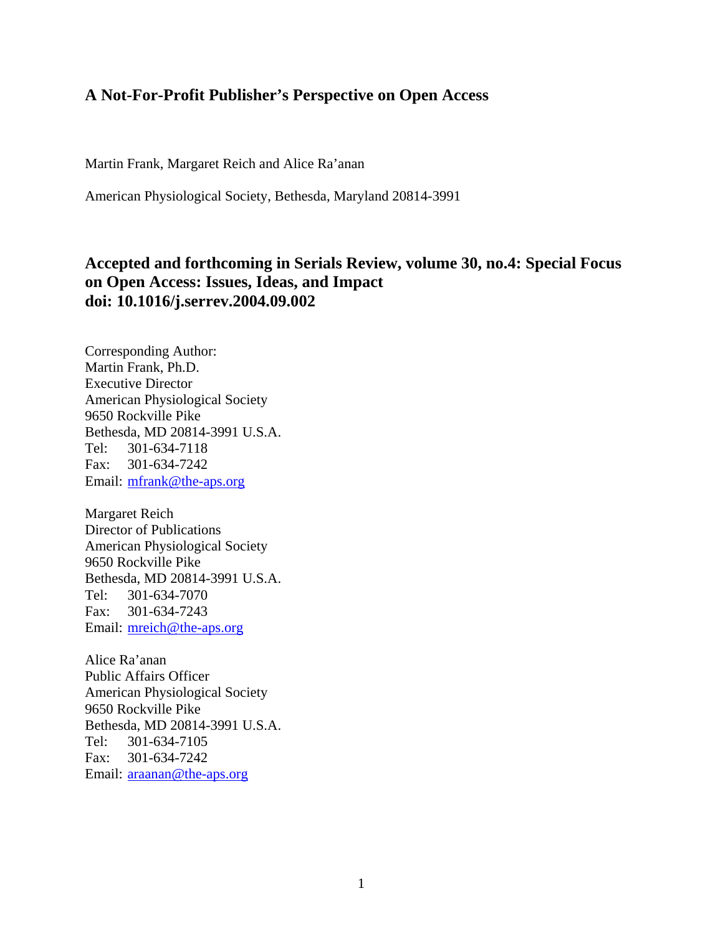# **A Not-For-Profit Publisher's Perspective on Open Access**

Martin Frank, Margaret Reich and Alice Ra'anan

American Physiological Society, Bethesda, Maryland 20814-3991

# **Accepted and forthcoming in Serials Review, volume 30, no.4: Special Focus on Open Access: Issues, Ideas, and Impact doi: 10.1016/j.serrev.2004.09.002**

Corresponding Author: Martin Frank, Ph.D. Executive Director American Physiological Society 9650 Rockville Pike Bethesda, MD 20814-3991 U.S.A. Tel: 301-634-7118 Fax: 301-634-7242 Email: mfrank@the-aps.org

Margaret Reich Director of Publications American Physiological Society 9650 Rockville Pike Bethesda, MD 20814-3991 U.S.A. Tel: 301-634-7070 Fax: 301-634-7243 Email: mreich@the-aps.org

Alice Ra'anan Public Affairs Officer American Physiological Society 9650 Rockville Pike Bethesda, MD 20814-3991 U.S.A. Tel: 301-634-7105 Fax: 301-634-7242 Email: araanan@the-aps.org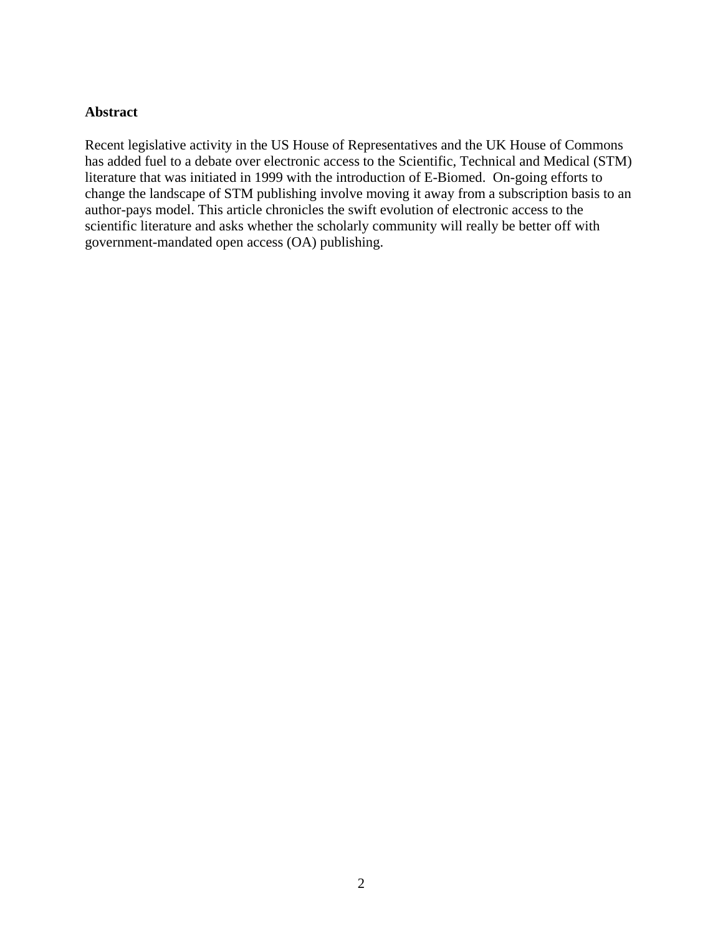#### **Abstract**

Recent legislative activity in the US House of Representatives and the UK House of Commons has added fuel to a debate over electronic access to the Scientific, Technical and Medical (STM) literature that was initiated in 1999 with the introduction of E-Biomed. On-going efforts to change the landscape of STM publishing involve moving it away from a subscription basis to an author-pays model. This article chronicles the swift evolution of electronic access to the scientific literature and asks whether the scholarly community will really be better off with government-mandated open access (OA) publishing.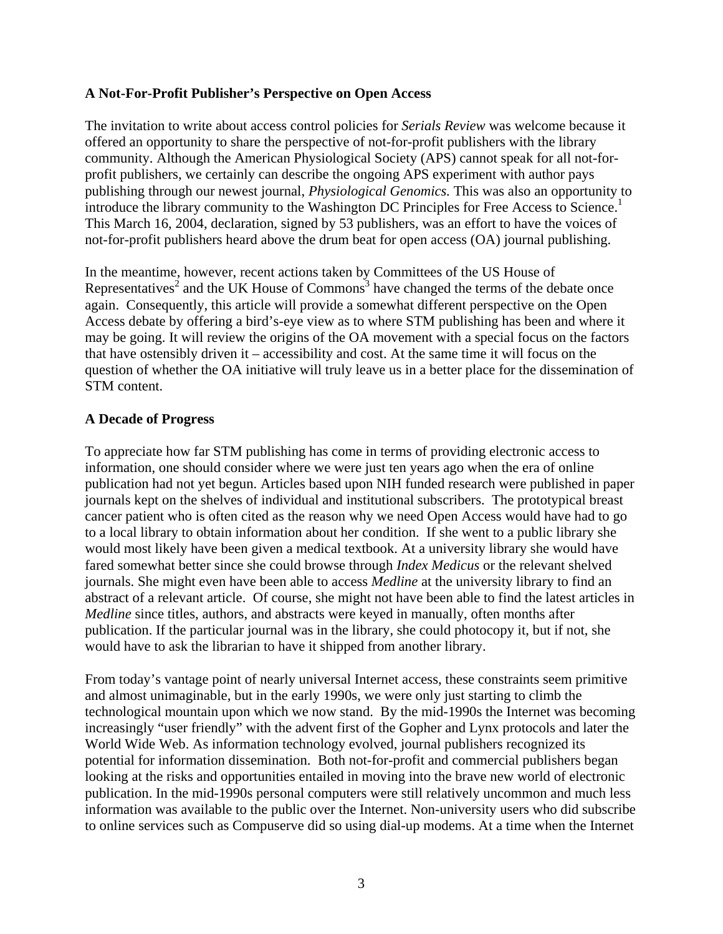#### **A Not-For-Profit Publisher's Perspective on Open Access**

The invitation to write about access control policies for *Serials Review* was welcome because it offered an opportunity to share the perspective of not-for-profit publishers with the library community. Although the American Physiological Society (APS) cannot speak for all not-forprofit publishers, we certainly can describe the ongoing APS experiment with author pays publishing through our newest journal, *Physiological Genomics.* This was also an opportunity to introduce the library community to the Washington DC Principles for Free Access to Science.<sup>1</sup> This March 16, 2004, declaration, signed by 53 publishers, was an effort to have the voices of not-for-profit publishers heard above the drum beat for open access (OA) journal publishing.

In the meantime, however, recent actions taken by Committees of the US House of Representatives<sup>2</sup> and the UK House of Commons<sup>3</sup> have changed the terms of the debate once again. Consequently, this article will provide a somewhat different perspective on the Open Access debate by offering a bird's-eye view as to where STM publishing has been and where it may be going. It will review the origins of the OA movement with a special focus on the factors that have ostensibly driven it – accessibility and cost. At the same time it will focus on the question of whether the OA initiative will truly leave us in a better place for the dissemination of STM content.

#### **A Decade of Progress**

To appreciate how far STM publishing has come in terms of providing electronic access to information, one should consider where we were just ten years ago when the era of online publication had not yet begun. Articles based upon NIH funded research were published in paper journals kept on the shelves of individual and institutional subscribers. The prototypical breast cancer patient who is often cited as the reason why we need Open Access would have had to go to a local library to obtain information about her condition. If she went to a public library she would most likely have been given a medical textbook. At a university library she would have fared somewhat better since she could browse through *Index Medicus* or the relevant shelved journals. She might even have been able to access *Medline* at the university library to find an abstract of a relevant article. Of course, she might not have been able to find the latest articles in *Medline* since titles, authors, and abstracts were keyed in manually, often months after publication. If the particular journal was in the library, she could photocopy it, but if not, she would have to ask the librarian to have it shipped from another library.

From today's vantage point of nearly universal Internet access, these constraints seem primitive and almost unimaginable, but in the early 1990s, we were only just starting to climb the technological mountain upon which we now stand. By the mid-1990s the Internet was becoming increasingly "user friendly" with the advent first of the Gopher and Lynx protocols and later the World Wide Web. As information technology evolved, journal publishers recognized its potential for information dissemination. Both not-for-profit and commercial publishers began looking at the risks and opportunities entailed in moving into the brave new world of electronic publication. In the mid-1990s personal computers were still relatively uncommon and much less information was available to the public over the Internet. Non-university users who did subscribe to online services such as Compuserve did so using dial-up modems. At a time when the Internet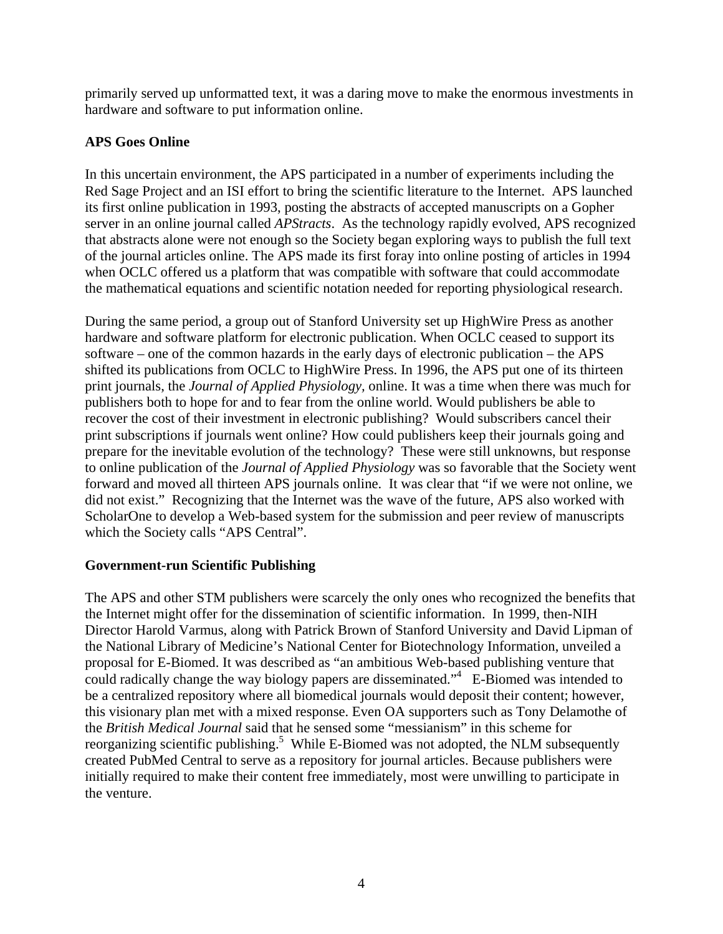primarily served up unformatted text, it was a daring move to make the enormous investments in hardware and software to put information online.

# **APS Goes Online**

In this uncertain environment, the APS participated in a number of experiments including the Red Sage Project and an ISI effort to bring the scientific literature to the Internet. APS launched its first online publication in 1993, posting the abstracts of accepted manuscripts on a Gopher server in an online journal called *APStracts*. As the technology rapidly evolved, APS recognized that abstracts alone were not enough so the Society began exploring ways to publish the full text of the journal articles online. The APS made its first foray into online posting of articles in 1994 when OCLC offered us a platform that was compatible with software that could accommodate the mathematical equations and scientific notation needed for reporting physiological research.

During the same period, a group out of Stanford University set up HighWire Press as another hardware and software platform for electronic publication. When OCLC ceased to support its software – one of the common hazards in the early days of electronic publication – the APS shifted its publications from OCLC to HighWire Press. In 1996, the APS put one of its thirteen print journals, the *Journal of Applied Physiology,* online. It was a time when there was much for publishers both to hope for and to fear from the online world. Would publishers be able to recover the cost of their investment in electronic publishing? Would subscribers cancel their print subscriptions if journals went online? How could publishers keep their journals going and prepare for the inevitable evolution of the technology? These were still unknowns, but response to online publication of the *Journal of Applied Physiology* was so favorable that the Society went forward and moved all thirteen APS journals online. It was clear that "if we were not online, we did not exist." Recognizing that the Internet was the wave of the future, APS also worked with ScholarOne to develop a Web-based system for the submission and peer review of manuscripts which the Society calls "APS Central".

## **Government-run Scientific Publishing**

The APS and other STM publishers were scarcely the only ones who recognized the benefits that the Internet might offer for the dissemination of scientific information. In 1999, then-NIH Director Harold Varmus, along with Patrick Brown of Stanford University and David Lipman of the National Library of Medicine's National Center for Biotechnology Information, unveiled a proposal for E-Biomed. It was described as "an ambitious Web-based publishing venture that could radically change the way biology papers are disseminated."<sup>4</sup> E-Biomed was intended to be a centralized repository where all biomedical journals would deposit their content; however, this visionary plan met with a mixed response. Even OA supporters such as Tony Delamothe of the *British Medical Journal* said that he sensed some "messianism" in this scheme for reorganizing scientific publishing.<sup>5</sup> While E-Biomed was not adopted, the NLM subsequently created PubMed Central to serve as a repository for journal articles. Because publishers were initially required to make their content free immediately, most were unwilling to participate in the venture.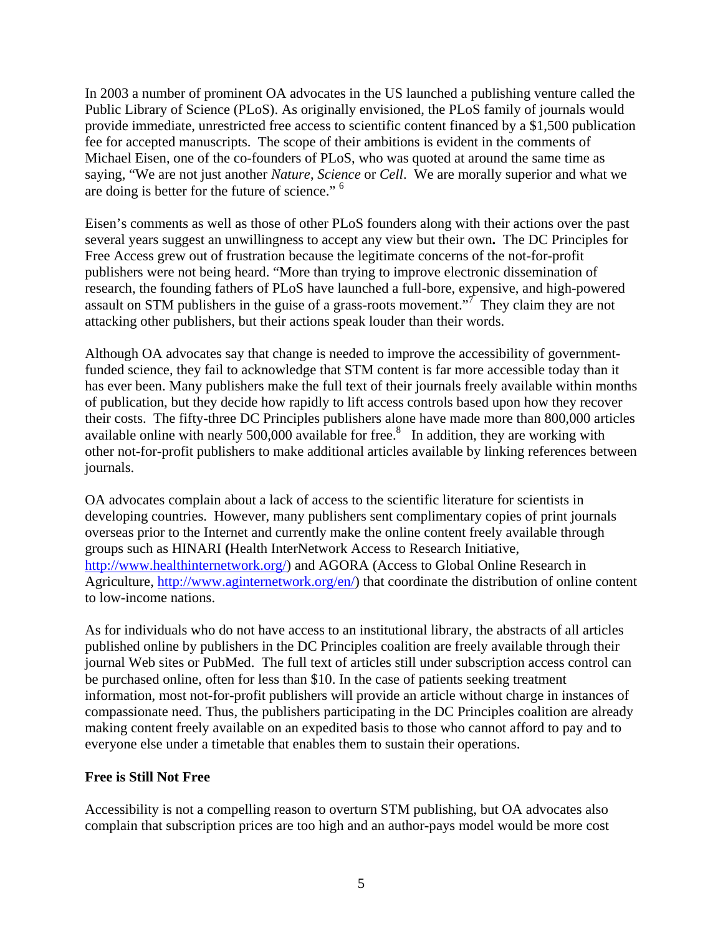In 2003 a number of prominent OA advocates in the US launched a publishing venture called the Public Library of Science (PLoS). As originally envisioned, the PLoS family of journals would provide immediate, unrestricted free access to scientific content financed by a \$1,500 publication fee for accepted manuscripts. The scope of their ambitions is evident in the comments of Michael Eisen, one of the co-founders of PLoS, who was quoted at around the same time as saying, "We are not just another *Nature*, *Science* or *Cell*. We are morally superior and what we are doing is better for the future of science." 6

Eisen's comments as well as those of other PLoS founders along with their actions over the past several years suggest an unwillingness to accept any view but their own**.** The DC Principles for Free Access grew out of frustration because the legitimate concerns of the not-for-profit publishers were not being heard. "More than trying to improve electronic dissemination of research, the founding fathers of PLoS have launched a full-bore, expensive, and high-powered assault on STM publishers in the guise of a grass-roots movement."<sup>7</sup> They claim they are not attacking other publishers, but their actions speak louder than their words.

Although OA advocates say that change is needed to improve the accessibility of governmentfunded science, they fail to acknowledge that STM content is far more accessible today than it has ever been. Many publishers make the full text of their journals freely available within months of publication, but they decide how rapidly to lift access controls based upon how they recover their costs. The fifty-three DC Principles publishers alone have made more than 800,000 articles available online with nearly 500,000 available for free. $8$  In addition, they are working with other not-for-profit publishers to make additional articles available by linking references between journals.

OA advocates complain about a lack of access to the scientific literature for scientists in developing countries. However, many publishers sent complimentary copies of print journals overseas prior to the Internet and currently make the online content freely available through groups such as HINARI **(**Health InterNetwork Access to Research Initiative, http://www.healthinternetwork.org/) and AGORA (Access to Global Online Research in Agriculture, http://www.aginternetwork.org/en/) that coordinate the distribution of online content to low-income nations.

As for individuals who do not have access to an institutional library, the abstracts of all articles published online by publishers in the DC Principles coalition are freely available through their journal Web sites or PubMed. The full text of articles still under subscription access control can be purchased online, often for less than \$10. In the case of patients seeking treatment information, most not-for-profit publishers will provide an article without charge in instances of compassionate need. Thus, the publishers participating in the DC Principles coalition are already making content freely available on an expedited basis to those who cannot afford to pay and to everyone else under a timetable that enables them to sustain their operations.

## **Free is Still Not Free**

Accessibility is not a compelling reason to overturn STM publishing, but OA advocates also complain that subscription prices are too high and an author-pays model would be more cost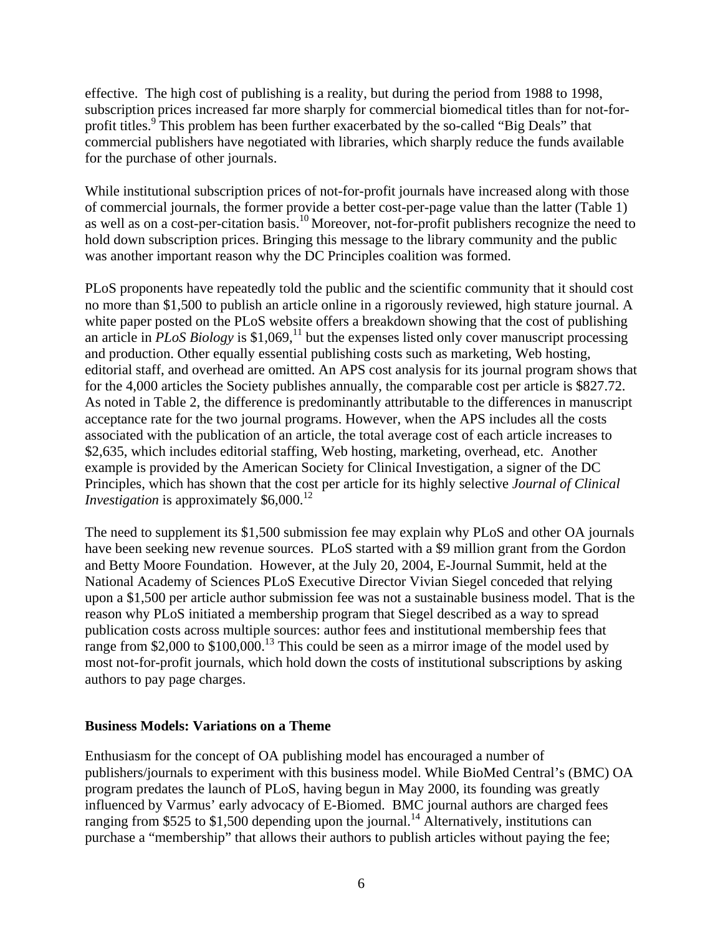effective. The high cost of publishing is a reality, but during the period from 1988 to 1998, subscription prices increased far more sharply for commercial biomedical titles than for not-forprofit titles.<sup>9</sup> This problem has been further exacerbated by the so-called "Big Deals" that commercial publishers have negotiated with libraries, which sharply reduce the funds available for the purchase of other journals.

While institutional subscription prices of not-for-profit journals have increased along with those of commercial journals, the former provide a better cost-per-page value than the latter (Table 1) as well as on a cost-per-citation basis.<sup>10</sup> Moreover, not-for-profit publishers recognize the need to hold down subscription prices. Bringing this message to the library community and the public was another important reason why the DC Principles coalition was formed.

PLoS proponents have repeatedly told the public and the scientific community that it should cost no more than \$1,500 to publish an article online in a rigorously reviewed, high stature journal. A white paper posted on the PLoS website offers a breakdown showing that the cost of publishing an article in *PLoS Biology* is \$1,069,<sup>11</sup> but the expenses listed only cover manuscript processing and production. Other equally essential publishing costs such as marketing, Web hosting, editorial staff, and overhead are omitted. An APS cost analysis for its journal program shows that for the 4,000 articles the Society publishes annually, the comparable cost per article is \$827.72. As noted in Table 2, the difference is predominantly attributable to the differences in manuscript acceptance rate for the two journal programs. However, when the APS includes all the costs associated with the publication of an article, the total average cost of each article increases to \$2,635, which includes editorial staffing, Web hosting, marketing, overhead, etc. Another example is provided by the American Society for Clinical Investigation, a signer of the DC Principles, which has shown that the cost per article for its highly selective *Journal of Clinical Investigation* is approximately \$6,000.<sup>12</sup>

The need to supplement its \$1,500 submission fee may explain why PLoS and other OA journals have been seeking new revenue sources. PLoS started with a \$9 million grant from the Gordon and Betty Moore Foundation. However, at the July 20, 2004, E-Journal Summit, held at the National Academy of Sciences PLoS Executive Director Vivian Siegel conceded that relying upon a \$1,500 per article author submission fee was not a sustainable business model. That is the reason why PLoS initiated a membership program that Siegel described as a way to spread publication costs across multiple sources: author fees and institutional membership fees that range from \$2,000 to  $$100,000$ .<sup>13</sup> This could be seen as a mirror image of the model used by most not-for-profit journals, which hold down the costs of institutional subscriptions by asking authors to pay page charges.

#### **Business Models: Variations on a Theme**

Enthusiasm for the concept of OA publishing model has encouraged a number of publishers/journals to experiment with this business model. While BioMed Central's (BMC) OA program predates the launch of PLoS, having begun in May 2000, its founding was greatly influenced by Varmus' early advocacy of E-Biomed. BMC journal authors are charged fees ranging from \$525 to \$1,500 depending upon the journal.<sup>14</sup> Alternatively, institutions can purchase a "membership" that allows their authors to publish articles without paying the fee;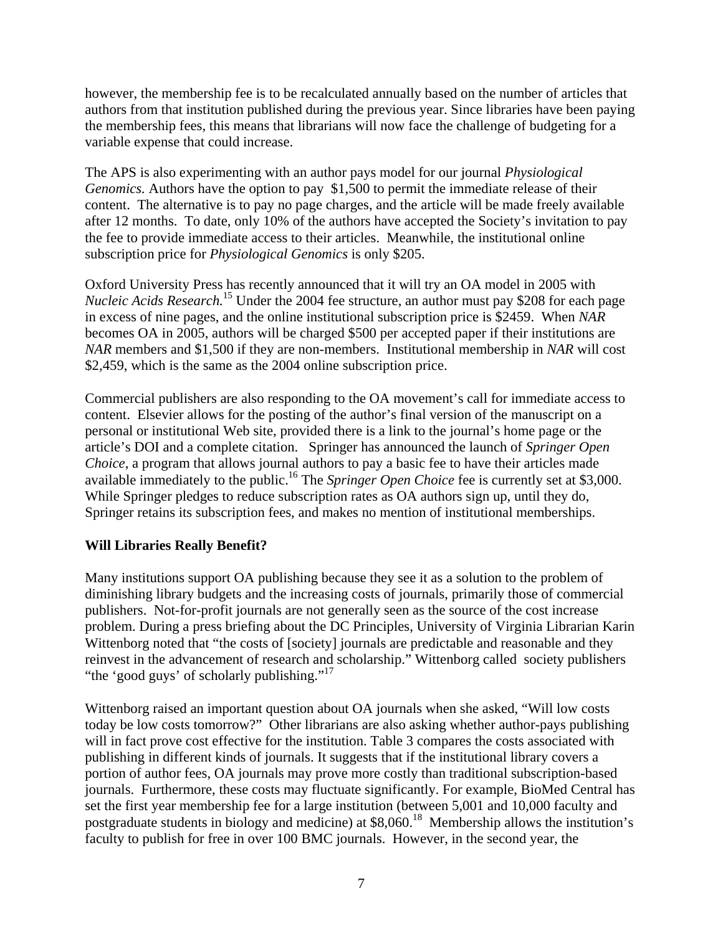however, the membership fee is to be recalculated annually based on the number of articles that authors from that institution published during the previous year. Since libraries have been paying the membership fees, this means that librarians will now face the challenge of budgeting for a variable expense that could increase.

The APS is also experimenting with an author pays model for our journal *Physiological Genomics.* Authors have the option to pay \$1,500 to permit the immediate release of their content. The alternative is to pay no page charges, and the article will be made freely available after 12 months. To date, only 10% of the authors have accepted the Society's invitation to pay the fee to provide immediate access to their articles. Meanwhile, the institutional online subscription price for *Physiological Genomics* is only \$205.

Oxford University Press has recently announced that it will try an OA model in 2005 with *Nucleic Acids Research.*<sup>15</sup> Under the 2004 fee structure, an author must pay \$208 for each page in excess of nine pages, and the online institutional subscription price is \$2459. When *NAR* becomes OA in 2005, authors will be charged \$500 per accepted paper if their institutions are *NAR* members and \$1,500 if they are non-members. Institutional membership in *NAR* will cost \$2,459, which is the same as the 2004 online subscription price.

Commercial publishers are also responding to the OA movement's call for immediate access to content. Elsevier allows for the posting of the author's final version of the manuscript on a personal or institutional Web site, provided there is a link to the journal's home page or the article's DOI and a complete citation. Springer has announced the launch of *Springer Open Choice*, a program that allows journal authors to pay a basic fee to have their articles made available immediately to the public.<sup>16</sup> The *Springer Open Choice* fee is currently set at \$3,000. While Springer pledges to reduce subscription rates as OA authors sign up, until they do, Springer retains its subscription fees, and makes no mention of institutional memberships.

## **Will Libraries Really Benefit?**

Many institutions support OA publishing because they see it as a solution to the problem of diminishing library budgets and the increasing costs of journals, primarily those of commercial publishers. Not-for-profit journals are not generally seen as the source of the cost increase problem. During a press briefing about the DC Principles, University of Virginia Librarian Karin Wittenborg noted that "the costs of [society] journals are predictable and reasonable and they reinvest in the advancement of research and scholarship." Wittenborg called society publishers "the 'good guys' of scholarly publishing."<sup>17</sup>

Wittenborg raised an important question about OA journals when she asked, "Will low costs today be low costs tomorrow?" Other librarians are also asking whether author-pays publishing will in fact prove cost effective for the institution. Table 3 compares the costs associated with publishing in different kinds of journals. It suggests that if the institutional library covers a portion of author fees, OA journals may prove more costly than traditional subscription-based journals. Furthermore, these costs may fluctuate significantly. For example, BioMed Central has set the first year membership fee for a large institution (between 5,001 and 10,000 faculty and postgraduate students in biology and medicine) at \$8,060.<sup>18</sup> Membership allows the institution's faculty to publish for free in over 100 BMC journals. However, in the second year, the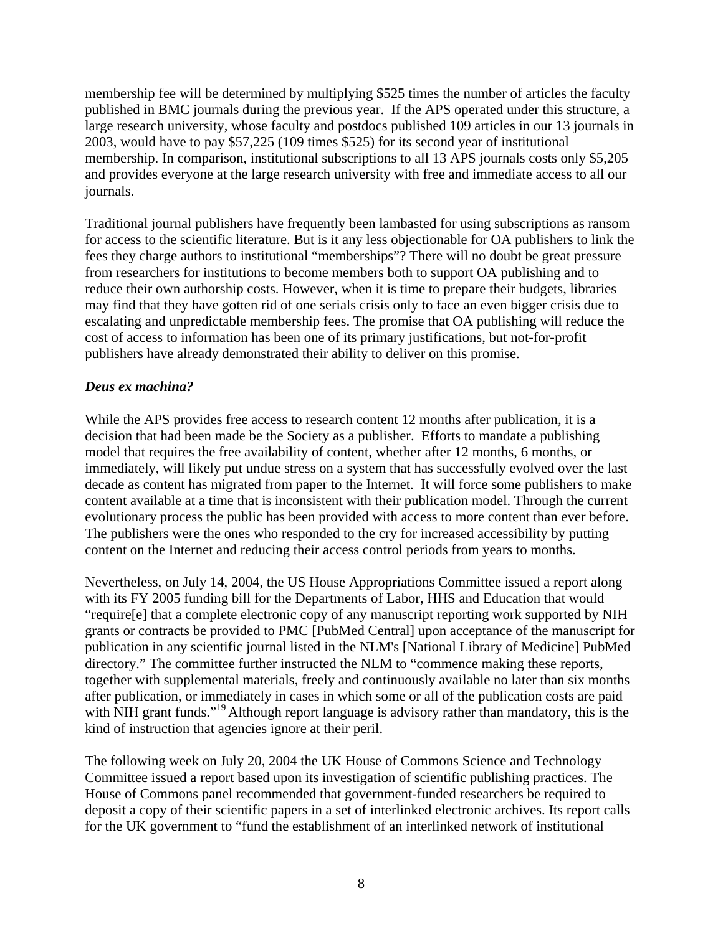membership fee will be determined by multiplying \$525 times the number of articles the faculty published in BMC journals during the previous year. If the APS operated under this structure, a large research university, whose faculty and postdocs published 109 articles in our 13 journals in 2003, would have to pay \$57,225 (109 times \$525) for its second year of institutional membership. In comparison, institutional subscriptions to all 13 APS journals costs only \$5,205 and provides everyone at the large research university with free and immediate access to all our journals.

Traditional journal publishers have frequently been lambasted for using subscriptions as ransom for access to the scientific literature. But is it any less objectionable for OA publishers to link the fees they charge authors to institutional "memberships"? There will no doubt be great pressure from researchers for institutions to become members both to support OA publishing and to reduce their own authorship costs. However, when it is time to prepare their budgets, libraries may find that they have gotten rid of one serials crisis only to face an even bigger crisis due to escalating and unpredictable membership fees. The promise that OA publishing will reduce the cost of access to information has been one of its primary justifications, but not-for-profit publishers have already demonstrated their ability to deliver on this promise.

#### *Deus ex machina?*

While the APS provides free access to research content 12 months after publication, it is a decision that had been made be the Society as a publisher. Efforts to mandate a publishing model that requires the free availability of content, whether after 12 months, 6 months, or immediately, will likely put undue stress on a system that has successfully evolved over the last decade as content has migrated from paper to the Internet. It will force some publishers to make content available at a time that is inconsistent with their publication model. Through the current evolutionary process the public has been provided with access to more content than ever before. The publishers were the ones who responded to the cry for increased accessibility by putting content on the Internet and reducing their access control periods from years to months.

Nevertheless, on July 14, 2004, the US House Appropriations Committee issued a report along with its FY 2005 funding bill for the Departments of Labor, HHS and Education that would "require[e] that a complete electronic copy of any manuscript reporting work supported by NIH grants or contracts be provided to PMC [PubMed Central] upon acceptance of the manuscript for publication in any scientific journal listed in the NLM's [National Library of Medicine] PubMed directory." The committee further instructed the NLM to "commence making these reports, together with supplemental materials, freely and continuously available no later than six months after publication, or immediately in cases in which some or all of the publication costs are paid with NIH grant funds."<sup>19</sup> Although report language is advisory rather than mandatory, this is the kind of instruction that agencies ignore at their peril.

The following week on July 20, 2004 the UK House of Commons Science and Technology Committee issued a report based upon its investigation of scientific publishing practices. The House of Commons panel recommended that government-funded researchers be required to deposit a copy of their scientific papers in a set of interlinked electronic archives. Its report calls for the UK government to "fund the establishment of an interlinked network of institutional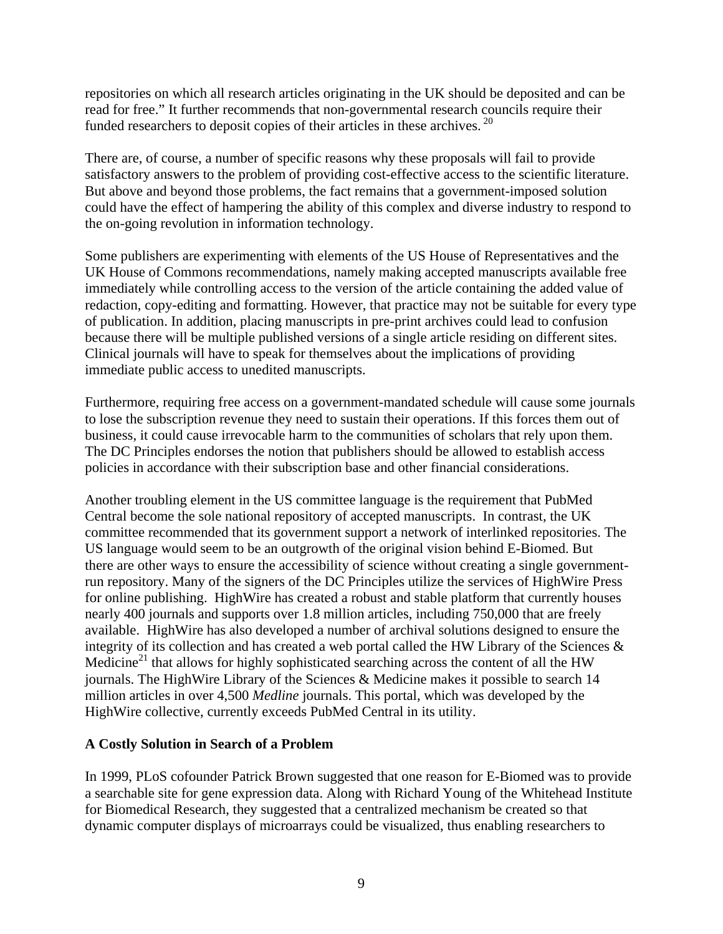repositories on which all research articles originating in the UK should be deposited and can be read for free." It further recommends that non-governmental research councils require their funded researchers to deposit copies of their articles in these archives.<sup>20</sup>

There are, of course, a number of specific reasons why these proposals will fail to provide satisfactory answers to the problem of providing cost-effective access to the scientific literature. But above and beyond those problems, the fact remains that a government-imposed solution could have the effect of hampering the ability of this complex and diverse industry to respond to the on-going revolution in information technology.

Some publishers are experimenting with elements of the US House of Representatives and the UK House of Commons recommendations, namely making accepted manuscripts available free immediately while controlling access to the version of the article containing the added value of redaction, copy-editing and formatting. However, that practice may not be suitable for every type of publication. In addition, placing manuscripts in pre-print archives could lead to confusion because there will be multiple published versions of a single article residing on different sites. Clinical journals will have to speak for themselves about the implications of providing immediate public access to unedited manuscripts.

Furthermore, requiring free access on a government-mandated schedule will cause some journals to lose the subscription revenue they need to sustain their operations. If this forces them out of business, it could cause irrevocable harm to the communities of scholars that rely upon them. The DC Principles endorses the notion that publishers should be allowed to establish access policies in accordance with their subscription base and other financial considerations.

Another troubling element in the US committee language is the requirement that PubMed Central become the sole national repository of accepted manuscripts. In contrast, the UK committee recommended that its government support a network of interlinked repositories. The US language would seem to be an outgrowth of the original vision behind E-Biomed. But there are other ways to ensure the accessibility of science without creating a single governmentrun repository. Many of the signers of the DC Principles utilize the services of HighWire Press for online publishing. HighWire has created a robust and stable platform that currently houses nearly 400 journals and supports over 1.8 million articles, including 750,000 that are freely available. HighWire has also developed a number of archival solutions designed to ensure the integrity of its collection and has created a web portal called the HW Library of the Sciences  $\&$ Medicine<sup>21</sup> that allows for highly sophisticated searching across the content of all the HW journals. The HighWire Library of the Sciences & Medicine makes it possible to search 14 million articles in over 4,500 *Medline* journals. This portal, which was developed by the HighWire collective, currently exceeds PubMed Central in its utility.

#### **A Costly Solution in Search of a Problem**

In 1999, PLoS cofounder Patrick Brown suggested that one reason for E-Biomed was to provide a searchable site for gene expression data. Along with Richard Young of the Whitehead Institute for Biomedical Research, they suggested that a centralized mechanism be created so that dynamic computer displays of microarrays could be visualized, thus enabling researchers to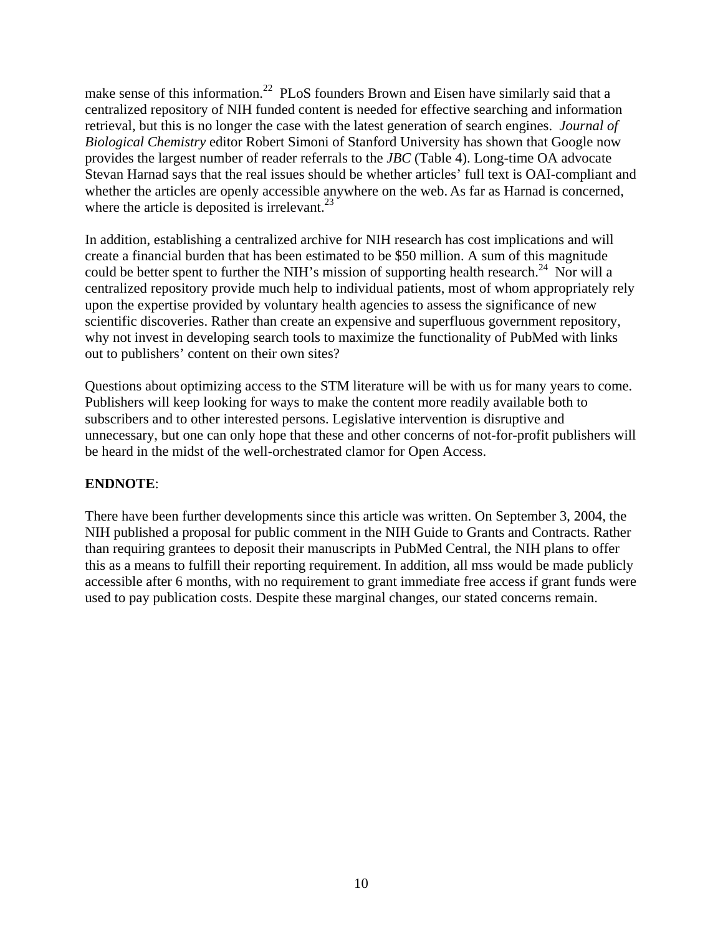make sense of this information.<sup>22</sup> PLoS founders Brown and Eisen have similarly said that a centralized repository of NIH funded content is needed for effective searching and information retrieval, but this is no longer the case with the latest generation of search engines. *Journal of Biological Chemistry* editor Robert Simoni of Stanford University has shown that Google now provides the largest number of reader referrals to the *JBC* (Table 4). Long-time OA advocate Stevan Harnad says that the real issues should be whether articles' full text is OAI-compliant and whether the articles are openly accessible anywhere on the web. As far as Harnad is concerned, where the article is deposited is irrelevant. $^{23}$ 

In addition, establishing a centralized archive for NIH research has cost implications and will create a financial burden that has been estimated to be \$50 million. A sum of this magnitude could be better spent to further the NIH's mission of supporting health research.<sup>24</sup> Nor will a centralized repository provide much help to individual patients, most of whom appropriately rely upon the expertise provided by voluntary health agencies to assess the significance of new scientific discoveries. Rather than create an expensive and superfluous government repository, why not invest in developing search tools to maximize the functionality of PubMed with links out to publishers' content on their own sites?

Questions about optimizing access to the STM literature will be with us for many years to come. Publishers will keep looking for ways to make the content more readily available both to subscribers and to other interested persons. Legislative intervention is disruptive and unnecessary, but one can only hope that these and other concerns of not-for-profit publishers will be heard in the midst of the well-orchestrated clamor for Open Access.

## **ENDNOTE**:

There have been further developments since this article was written. On September 3, 2004, the NIH published a proposal for public comment in the NIH Guide to Grants and Contracts. Rather than requiring grantees to deposit their manuscripts in PubMed Central, the NIH plans to offer this as a means to fulfill their reporting requirement. In addition, all mss would be made publicly accessible after 6 months, with no requirement to grant immediate free access if grant funds were used to pay publication costs. Despite these marginal changes, our stated concerns remain.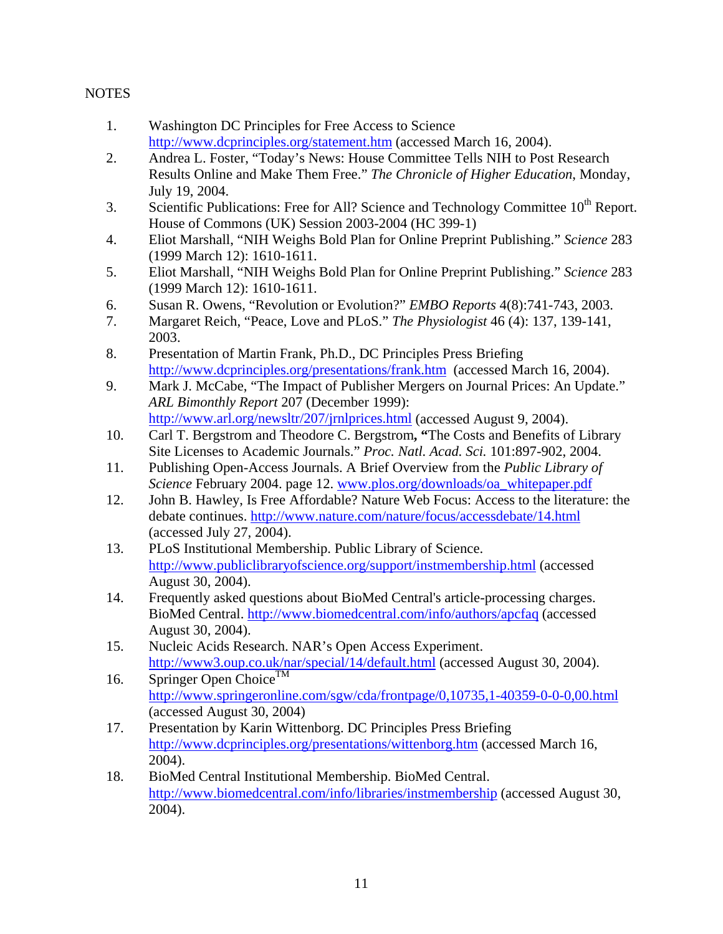# **NOTES**

- 1. Washington DC Principles for Free Access to Science http://www.dcprinciples.org/statement.htm (accessed March 16, 2004).
- 2. Andrea L. Foster, "Today's News: House Committee Tells NIH to Post Research Results Online and Make Them Free." *The Chronicle of Higher Education*, Monday, July 19, 2004.
- 3. Scientific Publications: Free for All? Science and Technology Committee  $10^{th}$  Report. House of Commons (UK) Session 2003-2004 (HC 399-1)
- 4. Eliot Marshall, "NIH Weighs Bold Plan for Online Preprint Publishing." *Science* 283 (1999 March 12): 1610-1611.
- 5. Eliot Marshall, "NIH Weighs Bold Plan for Online Preprint Publishing." *Science* 283 (1999 March 12): 1610-1611.
- 6. Susan R. Owens, "Revolution or Evolution?" *EMBO Reports* 4(8):741-743, 2003.
- 7. Margaret Reich, "Peace, Love and PLoS." *The Physiologist* 46 (4): 137, 139-141, 2003.
- 8. Presentation of Martin Frank, Ph.D., DC Principles Press Briefing http://www.dcprinciples.org/presentations/frank.htm (accessed March 16, 2004).
- 9. Mark J. McCabe, "The Impact of Publisher Mergers on Journal Prices: An Update." *ARL Bimonthly Report* 207 (December 1999): http://www.arl.org/newsltr/207/jrnlprices.html (accessed August 9, 2004).
- 10. Carl T. Bergstrom and Theodore C. Bergstrom**, "**The Costs and Benefits of Library Site Licenses to Academic Journals." *Proc. Natl. Acad. Sci.* 101:897-902, 2004.
- 11. Publishing Open-Access Journals. A Brief Overview from the *Public Library of Science* February 2004. page 12. www.plos.org/downloads/oa\_whitepaper.pdf
- 12. John B. Hawley, Is Free Affordable? Nature Web Focus: Access to the literature: the debate continues. http://www.nature.com/nature/focus/accessdebate/14.html (accessed July 27, 2004).
- 13. PLoS Institutional Membership. Public Library of Science. http://www.publiclibraryofscience.org/support/instmembership.html (accessed August 30, 2004).
- 14. Frequently asked questions about BioMed Central's article-processing charges. BioMed Central. http://www.biomedcentral.com/info/authors/apcfaq (accessed August 30, 2004).
- 15. Nucleic Acids Research. NAR's Open Access Experiment. http://www3.oup.co.uk/nar/special/14/default.html (accessed August 30, 2004).
- 16. Springer Open Choice<sup>TM</sup> http://www.springeronline.com/sgw/cda/frontpage/0,10735,1-40359-0-0-0,00.html (accessed August 30, 2004)
- 17. Presentation by Karin Wittenborg. DC Principles Press Briefing http://www.dcprinciples.org/presentations/wittenborg.htm (accessed March 16, 2004).
- 18. BioMed Central Institutional Membership. BioMed Central. http://www.biomedcentral.com/info/libraries/instmembership (accessed August 30, 2004).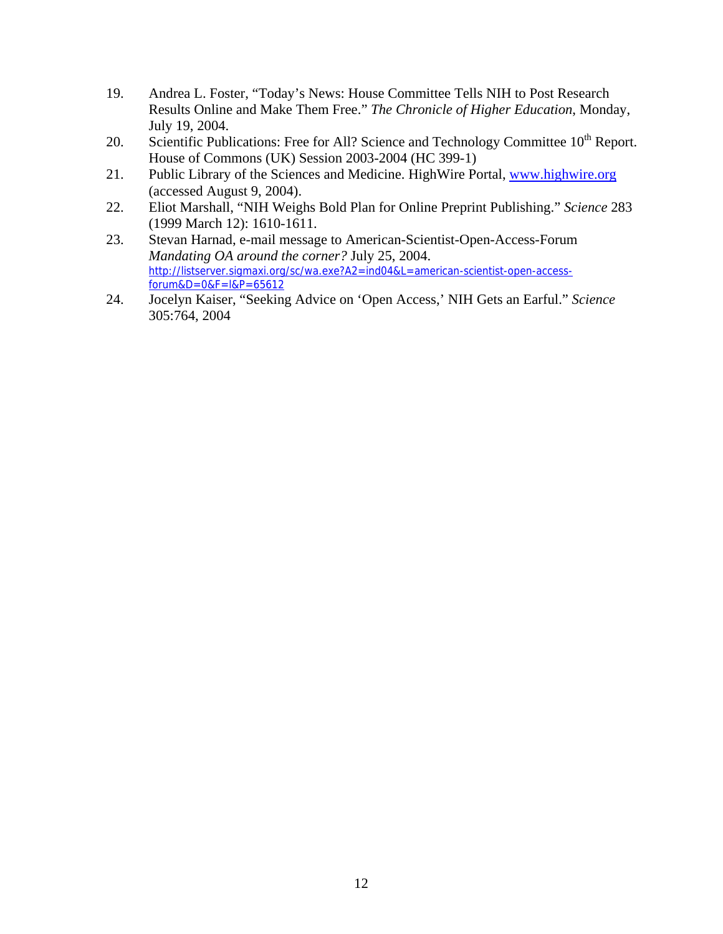- 19. Andrea L. Foster, "Today's News: House Committee Tells NIH to Post Research Results Online and Make Them Free." *The Chronicle of Higher Education*, Monday, July 19, 2004.
- 20. Scientific Publications: Free for All? Science and Technology Committee 10<sup>th</sup> Report. House of Commons (UK) Session 2003-2004 (HC 399-1)
- 21. Public Library of the Sciences and Medicine. HighWire Portal, www.highwire.org (accessed August 9, 2004).
- 22. Eliot Marshall, "NIH Weighs Bold Plan for Online Preprint Publishing." *Science* 283 (1999 March 12): 1610-1611.
- 23. Stevan Harnad, e-mail message to American-Scientist-Open-Access-Forum *Mandating OA around the corner?* July 25, 2004. http://listserver.sigmaxi.org/sc/wa.exe?A2=ind04&L=american-scientist-open-accessforum&D=0&F=l&P=65612
- 24. Jocelyn Kaiser, "Seeking Advice on 'Open Access,' NIH Gets an Earful." *Science*  305:764, 2004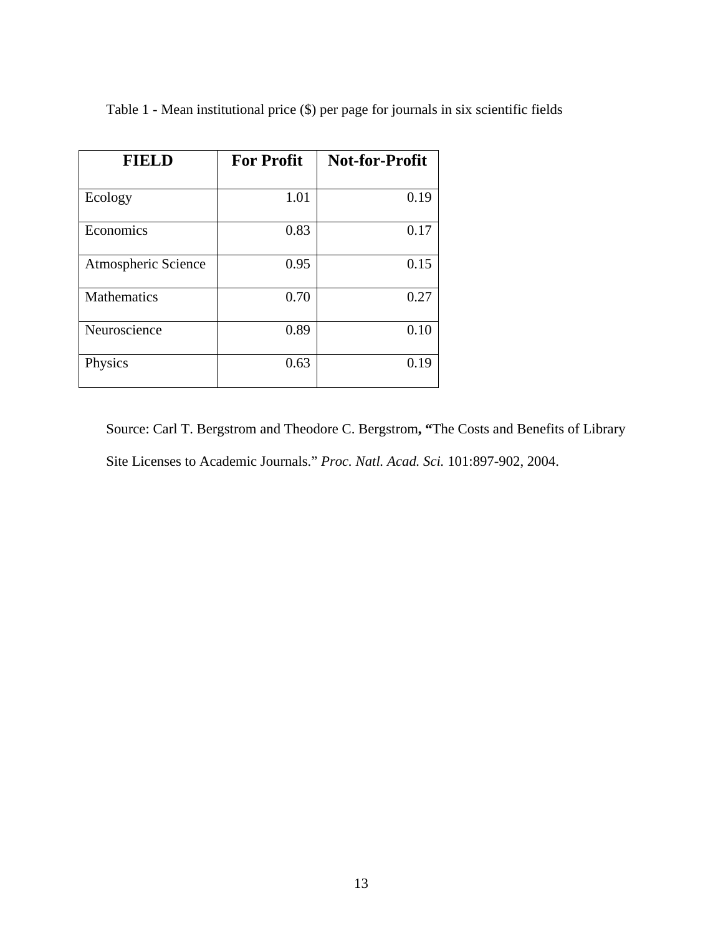| <b>FIELD</b>        | <b>For Profit</b> | <b>Not-for-Profit</b> |
|---------------------|-------------------|-----------------------|
|                     |                   |                       |
| Ecology             | 1.01              | 0.19                  |
| Economics           | 0.83              | 0.17                  |
| Atmospheric Science | 0.95              | 0.15                  |
| <b>Mathematics</b>  | 0.70              | 0.27                  |
| Neuroscience        | 0.89              | 0.10                  |
| Physics             | 0.63              | 0.19                  |

Table 1 - Mean institutional price (\$) per page for journals in six scientific fields

Source: Carl T. Bergstrom and Theodore C. Bergstrom**, "**The Costs and Benefits of Library Site Licenses to Academic Journals." *Proc. Natl. Acad. Sci.* 101:897-902, 2004.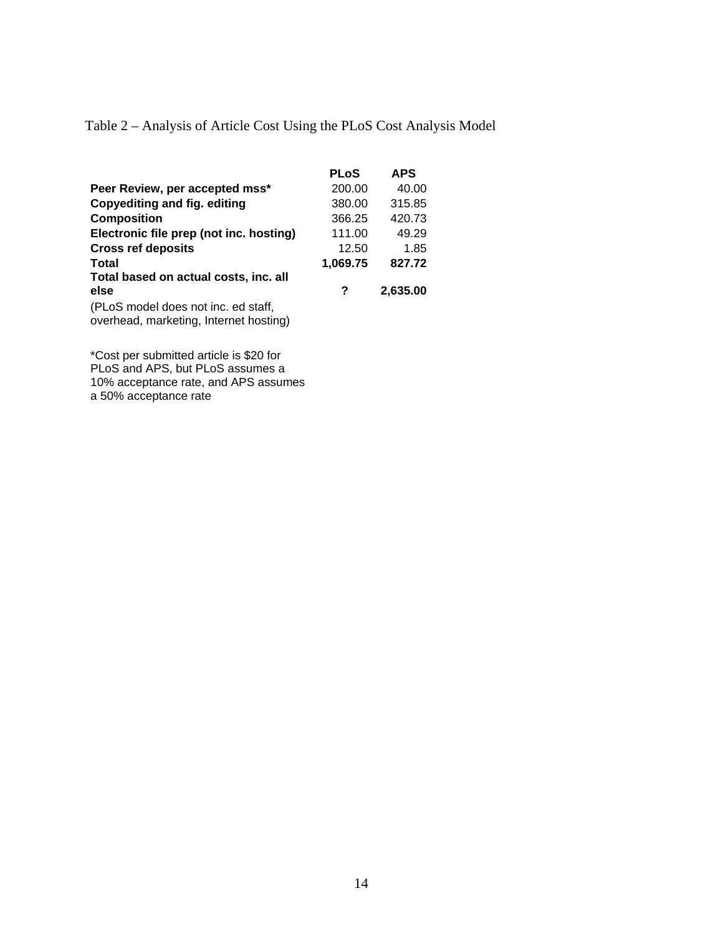Table 2 – Analysis of Article Cost Using the PLoS Cost Analysis Model

|                                                                               | <b>PLoS</b> | <b>APS</b> |
|-------------------------------------------------------------------------------|-------------|------------|
| Peer Review, per accepted mss*                                                | 200.00      | 40.00      |
| Copyediting and fig. editing                                                  | 380.00      | 315.85     |
| <b>Composition</b>                                                            | 366.25      | 420.73     |
| Electronic file prep (not inc. hosting)                                       | 111.00      | 49.29      |
| <b>Cross ref deposits</b>                                                     | 12.50       | 1.85       |
| Total                                                                         | 1,069.75    | 827.72     |
| Total based on actual costs, inc. all                                         |             |            |
| else                                                                          | ?           | 2,635.00   |
| (PLoS model does not inc. ed staff,<br>overhead, marketing, Internet hosting) |             |            |
|                                                                               |             |            |

\*Cost per submitted article is \$20 for PLoS and APS, but PLoS assumes a 10% acceptance rate, and APS assumes a 50% acceptance rate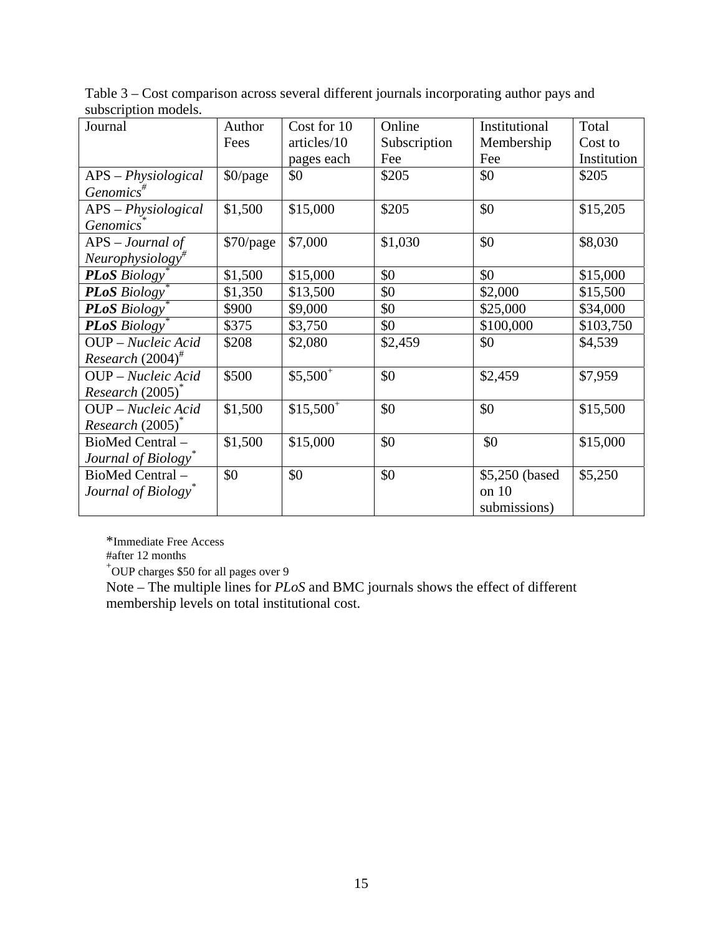| Journal                          | Author    | Cost for 10 | Online       | Institutional   | Total       |
|----------------------------------|-----------|-------------|--------------|-----------------|-------------|
|                                  | Fees      | articles/10 | Subscription | Membership      | Cost to     |
|                                  |           | pages each  | Fee          | Fee             | Institution |
| APS - Physiological              | \$0/page  | \$0         | \$205        | \$0             | \$205       |
| $Genomics^{\#}$                  |           |             |              |                 |             |
| APS - Physiological              | \$1,500   | \$15,000    | \$205        | \$0             | \$15,205    |
| <i>Genomics</i>                  |           |             |              |                 |             |
| $APS$ – Journal of               | \$70/page | \$7,000     | \$1,030      | \$0             | \$8,030     |
| $Neurophysiology$ <sup>#</sup>   |           |             |              |                 |             |
| <b>PLoS</b> Biology              | \$1,500   | \$15,000    | \$0          | \$0             | \$15,000    |
| <b>PLoS</b> Biology              | \$1,350   | \$13,500    | \$0          | \$2,000         | \$15,500    |
| <b>PLoS</b> Biology <sup>*</sup> | \$900     | \$9,000     | \$0          | \$25,000        | \$34,000    |
| <b>PLoS</b> Biology <sup>®</sup> | \$375     | \$3,750     | \$0          | \$100,000       | \$103,750   |
| OUP - Nucleic Acid               | \$208     | \$2,080     | \$2,459      | \$0             | \$4,539     |
| Research $(2004)^{\#}$           |           |             |              |                 |             |
| OUP - Nucleic Acid               | \$500     | $$5,500^+$  | \$0          | \$2,459         | \$7,959     |
| $Research (2005)^{^{\circ}}$     |           |             |              |                 |             |
| OUP - Nucleic Acid               | \$1,500   | $$15,500^+$ | \$0          | \$0             | \$15,500    |
| Research (2005) <sup>*</sup>     |           |             |              |                 |             |
| BioMed Central-                  | \$1,500   | \$15,000    | \$0          | \$0             | \$15,000    |
| Journal of Biology               |           |             |              |                 |             |
| BioMed Central-                  | \$0       | \$0         | \$0          | \$5,250 (based) | \$5,250     |
| Journal of Biology <sup>®</sup>  |           |             |              | on 10           |             |
|                                  |           |             |              | submissions)    |             |

Table 3 – Cost comparison across several different journals incorporating author pays and subscription models.

\*Immediate Free Access

#after 12 months

+ OUP charges \$50 for all pages over 9

Note – The multiple lines for *PLoS* and BMC journals shows the effect of different membership levels on total institutional cost.